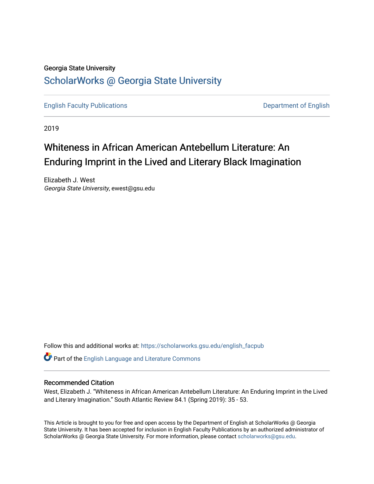# Georgia State University [ScholarWorks @ Georgia State University](https://scholarworks.gsu.edu/)

[English Faculty Publications](https://scholarworks.gsu.edu/english_facpub) **Department of English** 

2019

# Whiteness in African American Antebellum Literature: An Enduring Imprint in the Lived and Literary Black Imagination

Elizabeth J. West Georgia State University, ewest@gsu.edu

Follow this and additional works at: [https://scholarworks.gsu.edu/english\\_facpub](https://scholarworks.gsu.edu/english_facpub?utm_source=scholarworks.gsu.edu%2Fenglish_facpub%2F34&utm_medium=PDF&utm_campaign=PDFCoverPages)

Part of the [English Language and Literature Commons](http://network.bepress.com/hgg/discipline/455?utm_source=scholarworks.gsu.edu%2Fenglish_facpub%2F34&utm_medium=PDF&utm_campaign=PDFCoverPages)

# Recommended Citation

West, Elizabeth J. "Whiteness in African American Antebellum Literature: An Enduring Imprint in the Lived and Literary Imagination." South Atlantic Review 84.1 (Spring 2019): 35 - 53.

This Article is brought to you for free and open access by the Department of English at ScholarWorks @ Georgia State University. It has been accepted for inclusion in English Faculty Publications by an authorized administrator of ScholarWorks @ Georgia State University. For more information, please contact [scholarworks@gsu.edu](mailto:scholarworks@gsu.edu).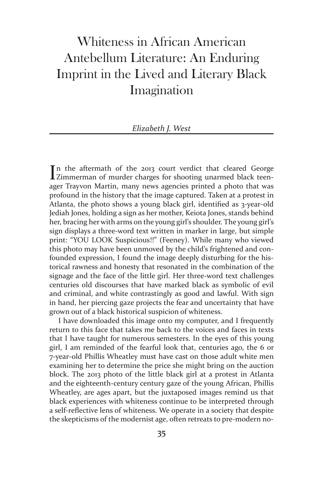# Whiteness in African American Antebellum Literature: An Enduring Imprint in the Lived and Literary Black Imagination

#### *Elizabeth J. West*

In the aftermath of the 2013 court verdict that cleared George<br>IZimmerman of murder charges for shooting unarmed black teen-In the aftermath of the 2013 court verdict that cleared George ager Trayvon Martin, many news agencies printed a photo that was profound in the history that the image captured. Taken at a protest in Atlanta, the photo shows a young black girl, identified as 3-year-old Jediah Jones, holding a sign as her mother, Keiota Jones, stands behind her, bracing her with arms on the young girl's shoulder. The young girl's sign displays a three-word text written in marker in large, but simple print: "YOU LOOK Suspicious!!" (Feeney). While many who viewed this photo may have been unmoved by the child's frightened and confounded expression, I found the image deeply disturbing for the historical rawness and honesty that resonated in the combination of the signage and the face of the little girl. Her three-word text challenges centuries old discourses that have marked black as symbolic of evil and criminal, and white contrastingly as good and lawful. With sign in hand, her piercing gaze projects the fear and uncertainty that have grown out of a black historical suspicion of whiteness.

I have downloaded this image onto my computer, and I frequently return to this face that takes me back to the voices and faces in texts that I have taught for numerous semesters. In the eyes of this young girl, I am reminded of the fearful look that, centuries ago, the 6 or 7-year-old Phillis Wheatley must have cast on those adult white men examining her to determine the price she might bring on the auction block. The 2013 photo of the little black girl at a protest in Atlanta and the eighteenth-century century gaze of the young African, Phillis Wheatley, are ages apart, but the juxtaposed images remind us that black experiences with whiteness continue to be interpreted through a self-reflective lens of whiteness. We operate in a society that despite the skepticisms of the modernist age, often retreats to pre-modern no-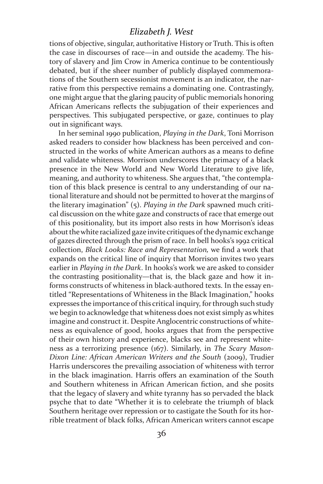tions of objective, singular, authoritative History or Truth. This is often the case in discourses of race—in and outside the academy. The history of slavery and Jim Crow in America continue to be contentiously debated, but if the sheer number of publicly displayed commemorations of the Southern secessionist movement is an indicator, the narrative from this perspective remains a dominating one. Contrastingly, one might argue that the glaring paucity of public memorials honoring African Americans reflects the subjugation of their experiences and perspectives. This subjugated perspective, or gaze, continues to play out in significant ways.

In her seminal 1990 publication, *Playing in the Dark*, Toni Morrison asked readers to consider how blackness has been perceived and constructed in the works of white American authors as a means to define and validate whiteness. Morrison underscores the primacy of a black presence in the New World and New World Literature to give life, meaning, and authority to whiteness. She argues that, "the contemplation of this black presence is central to any understanding of our national literature and should not be permitted to hover at the margins of the literary imagination" (5). *Playing in the Dark* spawned much critical discussion on the white gaze and constructs of race that emerge out of this positionality, but its import also rests in how Morrison's ideas about the white racialized gaze invite critiques of the dynamic exchange of gazes directed through the prism of race. In bell hooks's 1992 critical collection, *Black Looks: Race and Representation,* we find a work that expands on the critical line of inquiry that Morrison invites two years earlier in *Playing in the Dark*. In hooks's work we are asked to consider the contrasting positionality—that is, the black gaze and how it informs constructs of whiteness in black-authored texts. In the essay entitled "Representations of Whiteness in the Black Imagination," hooks expresses the importance of this critical inquiry, for through such study we begin to acknowledge that whiteness does not exist simply as whites imagine and construct it. Despite Anglocentric constructions of whiteness as equivalence of good, hooks argues that from the perspective of their own history and experience, blacks see and represent whiteness as a terrorizing presence (167). Similarly, in *The Scary Mason-Dixon Line: African American Writers and the South* (2009), Trudier Harris underscores the prevailing association of whiteness with terror in the black imagination. Harris offers an examination of the South and Southern whiteness in African American fiction, and she posits that the legacy of slavery and white tyranny has so pervaded the black psyche that to date "Whether it is to celebrate the triumph of black Southern heritage over repression or to castigate the South for its horrible treatment of black folks, African American writers cannot escape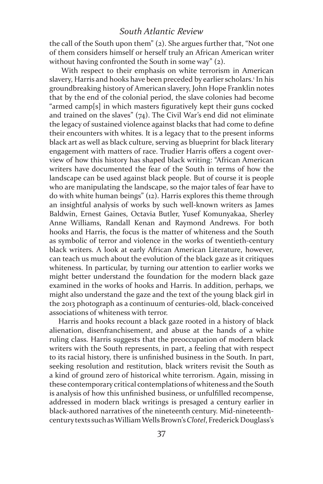the call of the South upon them" (2). She argues further that, "Not one of them considers himself or herself truly an African American writer without having confronted the South in some way" (2).

 With respect to their emphasis on white terrorism in American slavery, Harris and hooks have been preceded by earlier scholars.<sup>1</sup> In his groundbreaking history of American slavery, John Hope Franklin notes that by the end of the colonial period, the slave colonies had become "armed camp[s] in which masters figuratively kept their guns cocked and trained on the slaves" (74). The Civil War's end did not eliminate the legacy of sustained violence against blacks that had come to define their encounters with whites. It is a legacy that to the present informs black art as well as black culture, serving as blueprint for black literary engagement with matters of race. Trudier Harris offers a cogent overview of how this history has shaped black writing: "African American writers have documented the fear of the South in terms of how the landscape can be used against black people. But of course it is people who are manipulating the landscape, so the major tales of fear have to do with white human beings" (12). Harris explores this theme through an insightful analysis of works by such well-known writers as James Baldwin, Ernest Gaines, Octavia Butler, Yusef Komunyakaa, Sherley Anne Williams, Randall Kenan and Raymond Andrews. For both hooks and Harris, the focus is the matter of whiteness and the South as symbolic of terror and violence in the works of twentieth-century black writers. A look at early African American Literature, however, can teach us much about the evolution of the black gaze as it critiques whiteness. In particular, by turning our attention to earlier works we might better understand the foundation for the modern black gaze examined in the works of hooks and Harris. In addition, perhaps, we might also understand the gaze and the text of the young black girl in the 2013 photograph as a continuum of centuries-old, black-conceived associations of whiteness with terror.

Harris and hooks recount a black gaze rooted in a history of black alienation, disenfranchisement, and abuse at the hands of a white ruling class. Harris suggests that the preoccupation of modern black writers with the South represents, in part, a feeling that with respect to its racial history, there is unfinished business in the South. In part, seeking resolution and restitution, black writers revisit the South as a kind of ground zero of historical white terrorism. Again, missing in these contemporary critical contemplations of whiteness and the South is analysis of how this unfinished business, or unfulfilled recompense, addressed in modern black writings is presaged a century earlier in black-authored narratives of the nineteenth century. Mid-nineteenthcentury texts such as William Wells Brown's *Clotel*, Frederick Douglass's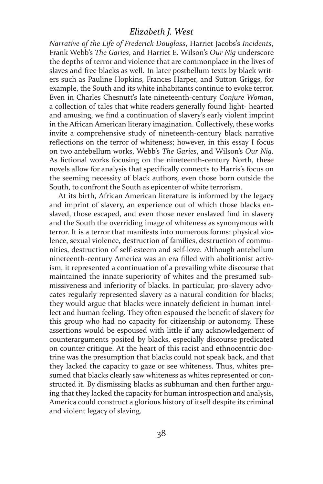*Narrative of the Life of Frederick Douglass*, Harriet Jacobs's *Incidents*, Frank Webb's *The Garies*, and Harriet E. Wilson's *Our Nig* underscore the depths of terror and violence that are commonplace in the lives of slaves and free blacks as well. In later postbellum texts by black writers such as Pauline Hopkins, Frances Harper, and Sutton Griggs, for example, the South and its white inhabitants continue to evoke terror. Even in Charles Chesnutt's late nineteenth-century *Conjure Woman*, a collection of tales that white readers generally found light- hearted and amusing, we find a continuation of slavery's early violent imprint in the African American literary imagination. Collectively, these works invite a comprehensive study of nineteenth-century black narrative reflections on the terror of whiteness; however, in this essay I focus on two antebellum works, Webb's *The Garies*, and Wilson's *Our Nig*. As fictional works focusing on the nineteenth-century North, these novels allow for analysis that specifically connects to Harris's focus on the seeming necessity of black authors, even those born outside the South, to confront the South as epicenter of white terrorism.

At its birth, African American literature is informed by the legacy and imprint of slavery, an experience out of which those blacks enslaved, those escaped, and even those never enslaved find in slavery and the South the overriding image of whiteness as synonymous with terror. It is a terror that manifests into numerous forms: physical violence, sexual violence, destruction of families, destruction of communities, destruction of self-esteem and self-love. Although antebellum nineteenth-century America was an era filled with abolitionist activism, it represented a continuation of a prevailing white discourse that maintained the innate superiority of whites and the presumed submissiveness and inferiority of blacks. In particular, pro-slavery advocates regularly represented slavery as a natural condition for blacks; they would argue that blacks were innately deficient in human intellect and human feeling. They often espoused the benefit of slavery for this group who had no capacity for citizenship or autonomy. These assertions would be espoused with little if any acknowledgement of counterarguments posited by blacks, especially discourse predicated on counter critique. At the heart of this racist and ethnocentric doctrine was the presumption that blacks could not speak back, and that they lacked the capacity to gaze or see whiteness. Thus, whites presumed that blacks clearly saw whiteness as whites represented or constructed it. By dismissing blacks as subhuman and then further arguing that they lacked the capacity for human introspection and analysis, America could construct a glorious history of itself despite its criminal and violent legacy of slaving.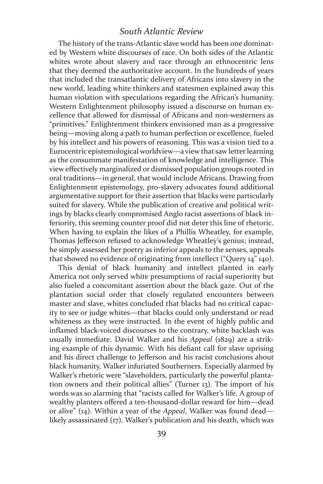The history of the trans-Atlantic slave world has been one dominated by Western white discourses of race. On both sides of the Atlantic whites wrote about slavery and race through an ethnocentric lens that they deemed the authoritative account. In the hundreds of years that included the transatlantic delivery of Africans into slavery in the new world, leading white thinkers and statesmen explained away this human violation with speculations regarding the African's humanity. Western Enlightenment philosophy issued a discourse on human excellence that allowed for dismissal of Africans and non-westerners as "primitives." Enlightenment thinkers envisioned man as a progressive being—moving along a path to human perfection or excellence, fueled by his intellect and his powers of reasoning. This was a vision tied to a Eurocentric epistemological worldview—a view that saw letter learning as the consummate manifestation of knowledge and intelligence. This view effectively marginalized or dismissed population groups rooted in oral traditions—in general, that would include Africans. Drawing from Enlightenment epistemology, pro-slavery advocates found additional argumentative support for their assertion that blacks were particularly suited for slavery. While the publication of creative and political writings by blacks clearly compromised Anglo racist assertions of black inferiority, this seeming counter proof did not deter this line of rhetoric. When having to explain the likes of a Phillis Wheatley, for example, Thomas Jefferson refused to acknowledge Wheatley's genius; instead, he simply assessed her poetry as inferior appeals to the senses, appeals that showed no evidence of originating from intellect ("Query 14" 140).

This denial of black humanity and intellect planted in early America not only served white presumptions of racial superiority but also fueled a concomitant assertion about the black gaze. Out of the plantation social order that closely regulated encounters between master and slave, whites concluded that blacks had no critical capacity to see or judge whites—that blacks could only understand or read whiteness as they were instructed. In the event of highly public and inflamed black-voiced discourses to the contrary, white backlash was usually immediate. David Walker and his *Appeal* (1829) are a striking example of this dynamic. With his defiant call for slave uprising and his direct challenge to Jefferson and his racist conclusions about black humanity, Walker infuriated Southerners. Especially alarmed by Walker's rhetoric were "slaveholders, particularly the powerful plantation owners and their political allies" (Turner 13). The import of his words was so alarming that "racists called for Walker's life. A group of wealthy planters offered a ten-thousand-dollar reward for him—dead or alive" (14). Within a year of the *Appeal*, Walker was found dead likely assassinated (17). Walker's publication and his death, which was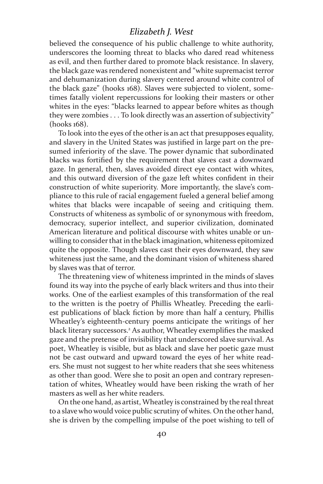believed the consequence of his public challenge to white authority, underscores the looming threat to blacks who dared read whiteness as evil, and then further dared to promote black resistance. In slavery, the black gaze was rendered nonexistent and "white supremacist terror and dehumanization during slavery centered around white control of the black gaze" (hooks 168). Slaves were subjected to violent, sometimes fatally violent repercussions for looking their masters or other whites in the eyes: "blacks learned to appear before whites as though they were zombies . . . To look directly was an assertion of subjectivity" (hooks 168).

To look into the eyes of the other is an act that presupposes equality, and slavery in the United States was justified in large part on the presumed inferiority of the slave. The power dynamic that subordinated blacks was fortified by the requirement that slaves cast a downward gaze. In general, then, slaves avoided direct eye contact with whites, and this outward diversion of the gaze left whites confident in their construction of white superiority. More importantly, the slave's compliance to this rule of racial engagement fueled a general belief among whites that blacks were incapable of seeing and critiquing them. Constructs of whiteness as symbolic of or synonymous with freedom, democracy, superior intellect, and superior civilization, dominated American literature and political discourse with whites unable or unwilling to consider that in the black imagination, whiteness epitomized quite the opposite. Though slaves cast their eyes downward, they saw whiteness just the same, and the dominant vision of whiteness shared by slaves was that of terror.

The threatening view of whiteness imprinted in the minds of slaves found its way into the psyche of early black writers and thus into their works. One of the earliest examples of this transformation of the real to the written is the poetry of Phillis Wheatley. Preceding the earliest publications of black fiction by more than half a century, Phillis Wheatley's eighteenth-century poems anticipate the writings of her black literary successors.2 As author, Wheatley exemplifies the masked gaze and the pretense of invisibility that underscored slave survival. As poet, Wheatley is visible, but as black and slave her poetic gaze must not be cast outward and upward toward the eyes of her white readers. She must not suggest to her white readers that she sees whiteness as other than good. Were she to posit an open and contrary representation of whites, Wheatley would have been risking the wrath of her masters as well as her white readers.

On the one hand, as artist, Wheatley is constrained by the real threat to a slave who would voice public scrutiny of whites. On the other hand, she is driven by the compelling impulse of the poet wishing to tell of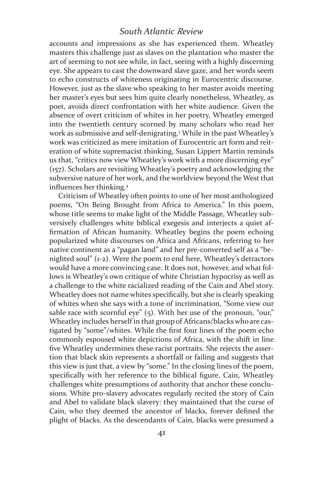accounts and impressions as she has experienced them. Wheatley masters this challenge just as slaves on the plantation who master the art of seeming to not see while, in fact, seeing with a highly discerning eye. She appears to cast the downward slave gaze, and her words seem to echo constructs of whiteness originating in Eurocentric discourse. However, just as the slave who speaking to her master avoids meeting her master's eyes but sees him quite clearly nonetheless, Wheatley, as poet, avoids direct confrontation with her white audience. Given the absence of overt criticism of whites in her poetry, Wheatley emerged into the twentieth century scorned by many scholars who read her work as submissive and self-denigrating.3 While in the past Wheatley's work was criticized as mere imitation of Eurocentric art form and reiteration of white supremacist thinking, Susan Lippert Martin reminds us that, "critics now view Wheatley's work with a more discerning eye" (157). Scholars are revisiting Wheatley's poetry and acknowledging the subversive nature of her work, and the worldview beyond the West that influences her thinking.<sup>4</sup>

Criticism of Wheatley often points to one of her most anthologized poems, "On Being Brought from Africa to America." In this poem, whose title seems to make light of the Middle Passage, Wheatley subversively challenges white biblical exegesis and interjects a quiet affirmation of African humanity. Wheatley begins the poem echoing popularized white discourses on Africa and Africans, referring to her native continent as a "pagan land" and her pre-converted self as a "benighted soul" (1-2). Were the poem to end here, Wheatley's detractors would have a more convincing case. It does not, however, and what follows is Wheatley's own critique of white Christian hypocrisy as well as a challenge to the white racialized reading of the Cain and Abel story. Wheatley does not name whites specifically, but she is clearly speaking of whites when she says with a tone of incrimination, "Some view our sable race with scornful eye" (5). With her use of the pronoun, "our," Wheatley includes herself in that group of Africans/blacks who are castigated by "some"/whites. While the first four lines of the poem echo commonly espoused white depictions of Africa, with the shift in line five Wheatley undermines these racist portraits. She rejects the assertion that black skin represents a shortfall or failing and suggests that this view is just that, a view by "some." In the closing lines of the poem, specifically with her reference to the biblical figure, Cain, Wheatley challenges white presumptions of authority that anchor these conclusions. White pro-slavery advocates regularly recited the story of Cain and Abel to validate black slavery: they maintained that the curse of Cain, who they deemed the ancestor of blacks, forever defined the plight of blacks. As the descendants of Cain, blacks were presumed a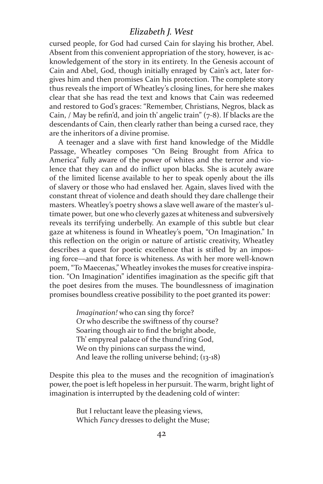cursed people, for God had cursed Cain for slaying his brother, Abel. Absent from this convenient appropriation of the story, however, is acknowledgement of the story in its entirety. In the Genesis account of Cain and Abel, God, though initially enraged by Cain's act, later forgives him and then promises Cain his protection. The complete story thus reveals the import of Wheatley's closing lines, for here she makes clear that she has read the text and knows that Cain was redeemed and restored to God's graces: "Remember, Christians, Negros, black as Cain, / May be refin'd, and join th' angelic train" (7-8). If blacks are the descendants of Cain, then clearly rather than being a cursed race, they are the inheritors of a divine promise.

A teenager and a slave with first hand knowledge of the Middle Passage, Wheatley composes "On Being Brought from Africa to America" fully aware of the power of whites and the terror and violence that they can and do inflict upon blacks. She is acutely aware of the limited license available to her to speak openly about the ills of slavery or those who had enslaved her. Again, slaves lived with the constant threat of violence and death should they dare challenge their masters. Wheatley's poetry shows a slave well aware of the master's ultimate power, but one who cleverly gazes at whiteness and subversively reveals its terrifying underbelly. An example of this subtle but clear gaze at whiteness is found in Wheatley's poem, "On Imagination." In this reflection on the origin or nature of artistic creativity, Wheatley describes a quest for poetic excellence that is stifled by an imposing force—and that force is whiteness. As with her more well-known poem, "To Maecenas," Wheatley invokes the muses for creative inspiration. "On Imagination" identifies imagination as the specific gift that the poet desires from the muses. The boundlessness of imagination promises boundless creative possibility to the poet granted its power:

> *Imagination!* who can sing thy force? Or who describe the swiftness of thy course? Soaring though air to find the bright abode, Th' empyreal palace of the thund'ring God, We on thy pinions can surpass the wind, And leave the rolling universe behind; (13-18)

Despite this plea to the muses and the recognition of imagination's power, the poet is left hopeless in her pursuit. The warm, bright light of imagination is interrupted by the deadening cold of winter:

> But I reluctant leave the pleasing views, Which *Fancy* dresses to delight the Muse;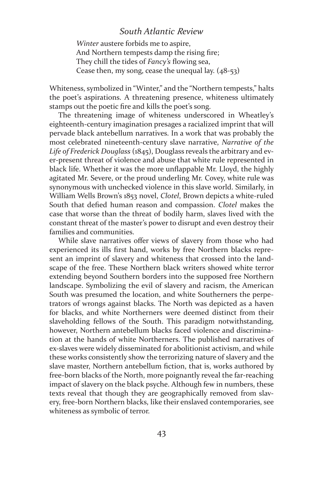*Winter* austere forbids me to aspire, And Northern tempests damp the rising fire; They chill the tides of *Fancy's* flowing sea, Cease then, my song, cease the unequal lay. (48-53)

Whiteness, symbolized in "Winter," and the "Northern tempests," halts the poet's aspirations. A threatening presence, whiteness ultimately stamps out the poetic fire and kills the poet's song.

The threatening image of whiteness underscored in Wheatley's eighteenth-century imagination presages a racialized imprint that will pervade black antebellum narratives. In a work that was probably the most celebrated nineteenth-century slave narrative, *Narrative of the Life of Frederick Douglass* (1845), Douglass reveals the arbitrary and ever-present threat of violence and abuse that white rule represented in black life. Whether it was the more unflappable Mr. Lloyd, the highly agitated Mr. Severe, or the proud underling Mr. Covey, white rule was synonymous with unchecked violence in this slave world. Similarly, in William Wells Brown's 1853 novel, *Clotel*, Brown depicts a white-ruled South that defied human reason and compassion. *Clotel* makes the case that worse than the threat of bodily harm, slaves lived with the constant threat of the master's power to disrupt and even destroy their families and communities.

While slave narratives offer views of slavery from those who had experienced its ills first hand, works by free Northern blacks represent an imprint of slavery and whiteness that crossed into the landscape of the free. These Northern black writers showed white terror extending beyond Southern borders into the supposed free Northern landscape. Symbolizing the evil of slavery and racism, the American South was presumed the location, and white Southerners the perpetrators of wrongs against blacks. The North was depicted as a haven for blacks, and white Northerners were deemed distinct from their slaveholding fellows of the South. This paradigm notwithstanding, however, Northern antebellum blacks faced violence and discrimination at the hands of white Northerners. The published narratives of ex-slaves were widely disseminated for abolitionist activism, and while these works consistently show the terrorizing nature of slavery and the slave master, Northern antebellum fiction, that is, works authored by free-born blacks of the North, more poignantly reveal the far-reaching impact of slavery on the black psyche. Although few in numbers, these texts reveal that though they are geographically removed from slavery, free-born Northern blacks, like their enslaved contemporaries, see whiteness as symbolic of terror.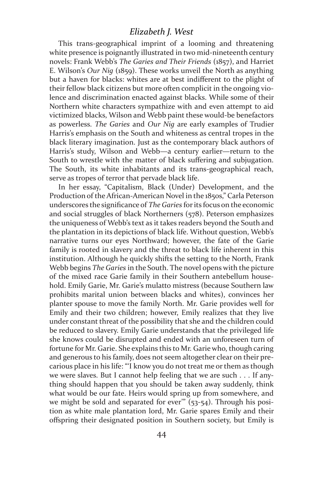This trans-geographical imprint of a looming and threatening white presence is poignantly illustrated in two mid-nineteenth century novels: Frank Webb's *The Garies and Their Friends* (1857), and Harriet E. Wilson's *Our Nig* (1859). These works unveil the North as anything but a haven for blacks: whites are at best indifferent to the plight of their fellow black citizens but more often complicit in the ongoing violence and discrimination enacted against blacks. While some of their Northern white characters sympathize with and even attempt to aid victimized blacks, Wilson and Webb paint these would-be benefactors as powerless. *The Garies* and *Our Nig* are early examples of Trudier Harris's emphasis on the South and whiteness as central tropes in the black literary imagination. Just as the contemporary black authors of Harris's study, Wilson and Webb—a century earlier—return to the South to wrestle with the matter of black suffering and subjugation. The South, its white inhabitants and its trans-geographical reach, serve as tropes of terror that pervade black life.

In her essay, "Capitalism, Black (Under) Development, and the Production of the African-American Novel in the 1850s," Carla Peterson underscores the significance of *The Garies* for its focus on the economic and social struggles of black Northerners (578). Peterson emphasizes the uniqueness of Webb's text as it takes readers beyond the South and the plantation in its depictions of black life. Without question, Webb's narrative turns our eyes Northward; however, the fate of the Garie family is rooted in slavery and the threat to black life inherent in this institution. Although he quickly shifts the setting to the North, Frank Webb begins *The Garies* in the South. The novel opens with the picture of the mixed race Garie family in their Southern antebellum household. Emily Garie, Mr. Garie's mulatto mistress (because Southern law prohibits marital union between blacks and whites), convinces her planter spouse to move the family North. Mr. Garie provides well for Emily and their two children; however, Emily realizes that they live under constant threat of the possibility that she and the children could be reduced to slavery. Emily Garie understands that the privileged life she knows could be disrupted and ended with an unforeseen turn of fortune for Mr. Garie. She explains this to Mr. Garie who, though caring and generous to his family, does not seem altogether clear on their precarious place in his life: "'I know you do not treat me or them as though we were slaves. But I cannot help feeling that we are such . . . If anything should happen that you should be taken away suddenly, think what would be our fate. Heirs would spring up from somewhere, and we might be sold and separated for ever<sup>""</sup>  $(53-54)$ . Through his position as white male plantation lord, Mr. Garie spares Emily and their offspring their designated position in Southern society, but Emily is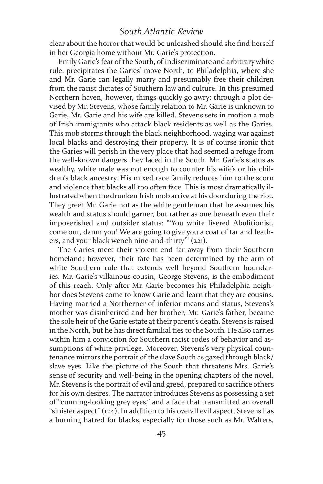clear about the horror that would be unleashed should she find herself in her Georgia home without Mr. Garie's protection.

Emily Garie's fear of the South, of indiscriminate and arbitrary white rule, precipitates the Garies' move North, to Philadelphia, where she and Mr. Garie can legally marry and presumably free their children from the racist dictates of Southern law and culture. In this presumed Northern haven, however, things quickly go awry: through a plot devised by Mr. Stevens, whose family relation to Mr. Garie is unknown to Garie, Mr. Garie and his wife are killed. Stevens sets in motion a mob of Irish immigrants who attack black residents as well as the Garies. This mob storms through the black neighborhood, waging war against local blacks and destroying their property. It is of course ironic that the Garies will perish in the very place that had seemed a refuge from the well-known dangers they faced in the South. Mr. Garie's status as wealthy, white male was not enough to counter his wife's or his children's black ancestry. His mixed race family reduces him to the scorn and violence that blacks all too often face. This is most dramatically illustrated when the drunken Irish mob arrive at his door during the riot. They greet Mr. Garie not as the white gentleman that he assumes his wealth and status should garner, but rather as one beneath even their impoverished and outsider status: "'You white livered Abolitionist, come out, damn you! We are going to give you a coat of tar and feathers, and your black wench nine-and-thirty'" (221).

The Garies meet their violent end far away from their Southern homeland; however, their fate has been determined by the arm of white Southern rule that extends well beyond Southern boundaries. Mr. Garie's villainous cousin, George Stevens, is the embodiment of this reach. Only after Mr. Garie becomes his Philadelphia neighbor does Stevens come to know Garie and learn that they are cousins. Having married a Northerner of inferior means and status, Stevens's mother was disinherited and her brother, Mr. Garie's father, became the sole heir of the Garie estate at their parent's death. Stevens is raised in the North, but he has direct familial ties to the South. He also carries within him a conviction for Southern racist codes of behavior and assumptions of white privilege. Moreover, Stevens's very physical countenance mirrors the portrait of the slave South as gazed through black/ slave eyes. Like the picture of the South that threatens Mrs. Garie's sense of security and well-being in the opening chapters of the novel, Mr. Stevens is the portrait of evil and greed, prepared to sacrifice others for his own desires. The narrator introduces Stevens as possessing a set of "cunning-looking grey eyes," and a face that transmitted an overall "sinister aspect" (124). In addition to his overall evil aspect, Stevens has a burning hatred for blacks, especially for those such as Mr. Walters,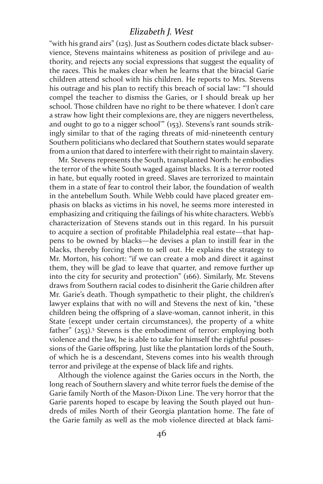"with his grand airs" (125). Just as Southern codes dictate black subservience, Stevens maintains whiteness as position of privilege and authority, and rejects any social expressions that suggest the equality of the races. This he makes clear when he learns that the biracial Garie children attend school with his children. He reports to Mrs. Stevens his outrage and his plan to rectify this breach of social law: "'I should compel the teacher to dismiss the Garies, or I should break up her school. Those children have no right to be there whatever. I don't care a straw how light their complexions are, they are niggers nevertheless, and ought to go to a nigger school'" (153). Stevens's rant sounds strikingly similar to that of the raging threats of mid-nineteenth century Southern politicians who declared that Southern states would separate from a union that dared to interfere with their right to maintain slavery.

Mr. Stevens represents the South, transplanted North: he embodies the terror of the white South waged against blacks. It is a terror rooted in hate, but equally rooted in greed. Slaves are terrorized to maintain them in a state of fear to control their labor, the foundation of wealth in the antebellum South. While Webb could have placed greater emphasis on blacks as victims in his novel, he seems more interested in emphasizing and critiquing the failings of his white characters. Webb's characterization of Stevens stands out in this regard. In his pursuit to acquire a section of profitable Philadelphia real estate—that happens to be owned by blacks—he devises a plan to instill fear in the blacks, thereby forcing them to sell out. He explains the strategy to Mr. Morton, his cohort: "if we can create a mob and direct it against them, they will be glad to leave that quarter, and remove further up into the city for security and protection" (166). Similarly, Mr. Stevens draws from Southern racial codes to disinherit the Garie children after Mr. Garie's death. Though sympathetic to their plight, the children's lawyer explains that with no will and Stevens the next of kin, "these children being the offspring of a slave-woman, cannot inherit, in this State (except under certain circumstances), the property of a white father" (253).<sup>5</sup> Stevens is the embodiment of terror: employing both violence and the law, he is able to take for himself the rightful possessions of the Garie offspring. Just like the plantation lords of the South, of which he is a descendant, Stevens comes into his wealth through terror and privilege at the expense of black life and rights.

Although the violence against the Garies occurs in the North, the long reach of Southern slavery and white terror fuels the demise of the Garie family North of the Mason-Dixon Line. The very horror that the Garie parents hoped to escape by leaving the South played out hundreds of miles North of their Georgia plantation home. The fate of the Garie family as well as the mob violence directed at black fami-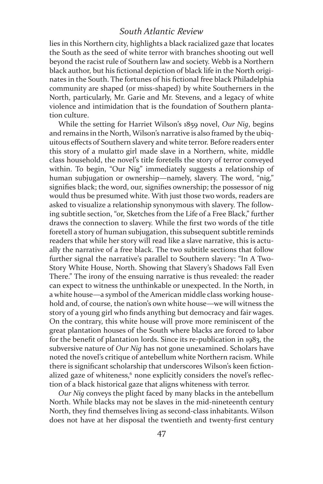lies in this Northern city, highlights a black racialized gaze that locates the South as the seed of white terror with branches shooting out well beyond the racist rule of Southern law and society. Webb is a Northern black author, but his fictional depiction of black life in the North originates in the South. The fortunes of his fictional free black Philadelphia community are shaped (or miss-shaped) by white Southerners in the North, particularly, Mr. Garie and Mr. Stevens, and a legacy of white violence and intimidation that is the foundation of Southern plantation culture.

While the setting for Harriet Wilson's 1859 novel, *Our Nig*, begins and remains in the North, Wilson's narrative is also framed by the ubiquitous effects of Southern slavery and white terror. Before readers enter this story of a mulatto girl made slave in a Northern, white, middle class household, the novel's title foretells the story of terror conveyed within. To begin, "Our Nig" immediately suggests a relationship of human subjugation or ownership—namely, slavery. The word, "nig," signifies black; the word, our, signifies ownership; the possessor of nig would thus be presumed white. With just those two words, readers are asked to visualize a relationship synonymous with slavery. The following subtitle section, "or, Sketches from the Life of a Free Black," further draws the connection to slavery. While the first two words of the title foretell a story of human subjugation, this subsequent subtitle reminds readers that while her story will read like a slave narrative, this is actually the narrative of a free black. The two subtitle sections that follow further signal the narrative's parallel to Southern slavery: "In A Two-Story White House, North. Showing that Slavery's Shadows Fall Even There." The irony of the ensuing narrative is thus revealed: the reader can expect to witness the unthinkable or unexpected. In the North, in a white house—a symbol of the American middle class working household and, of course, the nation's own white house—we will witness the story of a young girl who finds anything but democracy and fair wages. On the contrary, this white house will prove more reminiscent of the great plantation houses of the South where blacks are forced to labor for the benefit of plantation lords. Since its re-publication in 1983, the subversive nature of *Our Nig* has not gone unexamined. Scholars have noted the novel's critique of antebellum white Northern racism. While there is significant scholarship that underscores Wilson's keen fictionalized gaze of whiteness,<sup>6</sup> none explicitly considers the novel's reflection of a black historical gaze that aligns whiteness with terror.

*Our Nig* conveys the plight faced by many blacks in the antebellum North. While blacks may not be slaves in the mid-nineteenth century North, they find themselves living as second-class inhabitants. Wilson does not have at her disposal the twentieth and twenty-first century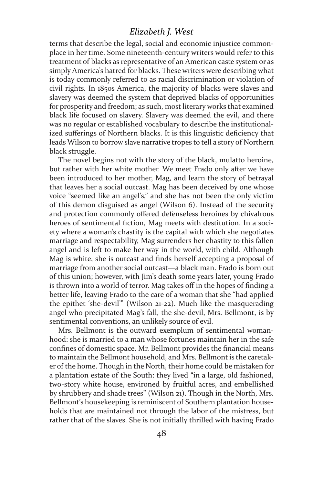terms that describe the legal, social and economic injustice commonplace in her time. Some nineteenth-century writers would refer to this treatment of blacks as representative of an American caste system or as simply America's hatred for blacks. These writers were describing what is today commonly referred to as racial discrimination or violation of civil rights. In 1850s America, the majority of blacks were slaves and slavery was deemed the system that deprived blacks of opportunities for prosperity and freedom; as such, most literary works that examined black life focused on slavery. Slavery was deemed the evil, and there was no regular or established vocabulary to describe the institutionalized sufferings of Northern blacks. It is this linguistic deficiency that leads Wilson to borrow slave narrative tropes to tell a story of Northern black struggle.

The novel begins not with the story of the black, mulatto heroine, but rather with her white mother. We meet Frado only after we have been introduced to her mother, Mag, and learn the story of betrayal that leaves her a social outcast. Mag has been deceived by one whose voice "seemed like an angel's," and she has not been the only victim of this demon disguised as angel (Wilson 6). Instead of the security and protection commonly offered defenseless heroines by chivalrous heroes of sentimental fiction, Mag meets with destitution. In a society where a woman's chastity is the capital with which she negotiates marriage and respectability, Mag surrenders her chastity to this fallen angel and is left to make her way in the world, with child. Although Mag is white, she is outcast and finds herself accepting a proposal of marriage from another social outcast—a black man. Frado is born out of this union; however, with Jim's death some years later, young Frado is thrown into a world of terror. Mag takes off in the hopes of finding a better life, leaving Frado to the care of a woman that she "had applied the epithet 'she-devil'" (Wilson 21-22). Much like the masquerading angel who precipitated Mag's fall, the she-devil, Mrs. Bellmont, is by sentimental conventions, an unlikely source of evil.

Mrs. Bellmont is the outward exemplum of sentimental womanhood: she is married to a man whose fortunes maintain her in the safe confines of domestic space. Mr. Bellmont provides the financial means to maintain the Bellmont household, and Mrs. Bellmont is the caretaker of the home. Though in the North, their home could be mistaken for a plantation estate of the South: they lived "in a large, old fashioned, two-story white house, environed by fruitful acres, and embellished by shrubbery and shade trees" (Wilson 21). Though in the North, Mrs. Bellmont's housekeeping is reminiscent of Southern plantation households that are maintained not through the labor of the mistress, but rather that of the slaves. She is not initially thrilled with having Frado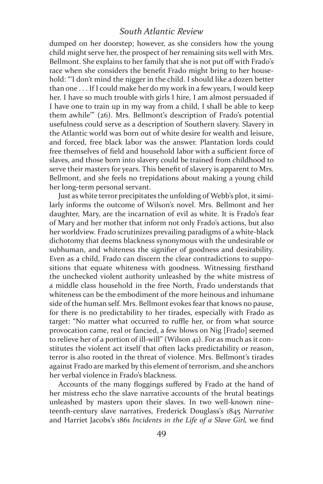dumped on her doorstep; however, as she considers how the young child might serve her, the prospect of her remaining sits well with Mrs. Bellmont. She explains to her family that she is not put off with Frado's race when she considers the benefit Frado might bring to her household: "'I don't mind the nigger in the child. I should like a dozen better than one . . . If I could make her do my work in a few years, I would keep her. I have so much trouble with girls I hire, I am almost persuaded if I have one to train up in my way from a child, I shall be able to keep them awhile'" (26). Mrs. Bellmont's description of Frado's potential usefulness could serve as a description of Southern slavery. Slavery in the Atlantic world was born out of white desire for wealth and leisure, and forced, free black labor was the answer. Plantation lords could free themselves of field and household labor with a sufficient force of slaves, and those born into slavery could be trained from childhood to serve their masters for years. This benefit of slavery is apparent to Mrs. Bellmont, and she feels no trepidations about making a young child her long-term personal servant.

Just as white terror precipitates the unfolding of Webb's plot, it similarly informs the outcome of Wilson's novel. Mrs. Bellmont and her daughter, Mary, are the incarnation of evil as white. It is Frado's fear of Mary and her mother that inform not only Frado's actions, but also her worldview. Frado scrutinizes prevailing paradigms of a white-black dichotomy that deems blackness synonymous with the undesirable or subhuman, and whiteness the signifier of goodness and desirability. Even as a child, Frado can discern the clear contradictions to suppositions that equate whiteness with goodness. Witnessing firsthand the unchecked violent authority unleashed by the white mistress of a middle class household in the free North, Frado understands that whiteness can be the embodiment of the more heinous and inhumane side of the human self. Mrs. Bellmont evokes fear that knows no pause, for there is no predictability to her tirades, especially with Frado as target: "No matter what occurred to ruffle her, or from what source provocation came, real or fancied, a few blows on Nig [Frado] seemed to relieve her of a portion of ill-will" (Wilson 41). For as much as it constitutes the violent act itself that often lacks predictability or reason, terror is also rooted in the threat of violence. Mrs. Bellmont's tirades against Frado are marked by this element of terrorism, and she anchors her verbal violence in Frado's blackness.

Accounts of the many floggings suffered by Frado at the hand of her mistress echo the slave narrative accounts of the brutal beatings unleashed by masters upon their slaves. In two well-known nineteenth-century slave narratives, Frederick Douglass's 1845 *Narrative* and Harriet Jacobs's 1861 *Incidents in the Life of a Slave Girl,* we find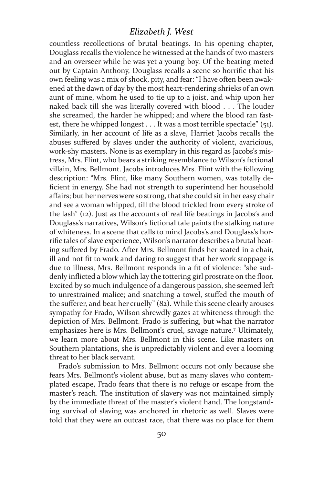countless recollections of brutal beatings. In his opening chapter, Douglass recalls the violence he witnessed at the hands of two masters and an overseer while he was yet a young boy. Of the beating meted out by Captain Anthony, Douglass recalls a scene so horrific that his own feeling was a mix of shock, pity, and fear: "I have often been awakened at the dawn of day by the most heart-rendering shrieks of an own aunt of mine, whom he used to tie up to a joist, and whip upon her naked back till she was literally covered with blood . . . The louder she screamed, the harder he whipped; and where the blood ran fastest, there he whipped longest . . . It was a most terrible spectacle" (51). Similarly, in her account of life as a slave, Harriet Jacobs recalls the abuses suffered by slaves under the authority of violent, avaricious, work-shy masters. None is as exemplary in this regard as Jacobs's mistress, Mrs. Flint, who bears a striking resemblance to Wilson's fictional villain, Mrs. Bellmont. Jacobs introduces Mrs. Flint with the following description: "Mrs. Flint, like many Southern women, was totally deficient in energy. She had not strength to superintend her household affairs; but her nerves were so strong, that she could sit in her easy chair and see a woman whipped, till the blood trickled from every stroke of the lash" (12). Just as the accounts of real life beatings in Jacobs's and Douglass's narratives, Wilson's fictional tale paints the stalking nature of whiteness. In a scene that calls to mind Jacobs's and Douglass's horrific tales of slave experience, Wilson's narrator describes a brutal beating suffered by Frado. After Mrs. Bellmont finds her seated in a chair, ill and not fit to work and daring to suggest that her work stoppage is due to illness, Mrs. Bellmont responds in a fit of violence: "she suddenly inflicted a blow which lay the tottering girl prostrate on the floor. Excited by so much indulgence of a dangerous passion, she seemed left to unrestrained malice; and snatching a towel, stuffed the mouth of the sufferer, and beat her cruelly" (82). While this scene clearly arouses sympathy for Frado, Wilson shrewdly gazes at whiteness through the depiction of Mrs. Bellmont. Frado is suffering, but what the narrator emphasizes here is Mrs. Bellmont's cruel, savage nature.7 Ultimately, we learn more about Mrs. Bellmont in this scene. Like masters on Southern plantations, she is unpredictably violent and ever a looming threat to her black servant.

Frado's submission to Mrs. Bellmont occurs not only because she fears Mrs. Bellmont's violent abuse, but as many slaves who contemplated escape, Frado fears that there is no refuge or escape from the master's reach. The institution of slavery was not maintained simply by the immediate threat of the master's violent hand. The longstanding survival of slaving was anchored in rhetoric as well. Slaves were told that they were an outcast race, that there was no place for them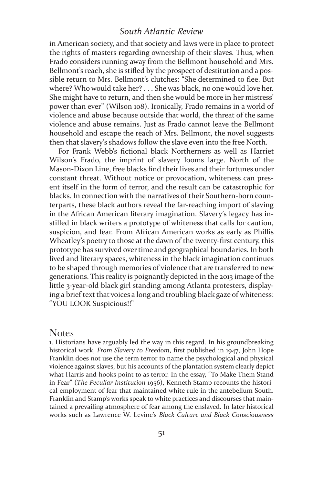in American society, and that society and laws were in place to protect the rights of masters regarding ownership of their slaves. Thus, when Frado considers running away from the Bellmont household and Mrs. Bellmont's reach, she is stifled by the prospect of destitution and a possible return to Mrs. Bellmont's clutches: "She determined to flee. But where? Who would take her? . . . She was black, no one would love her. She might have to return, and then she would be more in her mistress' power than ever" (Wilson 108). Ironically, Frado remains in a world of violence and abuse because outside that world, the threat of the same violence and abuse remains. Just as Frado cannot leave the Bellmont household and escape the reach of Mrs. Bellmont, the novel suggests then that slavery's shadows follow the slave even into the free North.

For Frank Webb's fictional black Northerners as well as Harriet Wilson's Frado, the imprint of slavery looms large. North of the Mason-Dixon Line, free blacks find their lives and their fortunes under constant threat. Without notice or provocation, whiteness can present itself in the form of terror, and the result can be catastrophic for blacks. In connection with the narratives of their Southern-born counterparts, these black authors reveal the far-reaching import of slaving in the African American literary imagination. Slavery's legacy has instilled in black writers a prototype of whiteness that calls for caution, suspicion, and fear. From African American works as early as Phillis Wheatley's poetry to those at the dawn of the twenty-first century, this prototype has survived over time and geographical boundaries. In both lived and literary spaces, whiteness in the black imagination continues to be shaped through memories of violence that are transferred to new generations. This reality is poignantly depicted in the 2013 image of the little 3-year-old black girl standing among Atlanta protesters, displaying a brief text that voices a long and troubling black gaze of whiteness: "YOU LOOK Suspicious!!"

#### Notes

1. Historians have arguably led the way in this regard. In his groundbreaking historical work, *From Slavery to Freedom*, first published in 1947, John Hope Franklin does not use the term terror to name the psychological and physical violence against slaves, but his accounts of the plantation system clearly depict what Harris and hooks point to as terror. In the essay, "To Make Them Stand in Fear" (*The Peculiar Institution* 1956), Kenneth Stamp recounts the historical employment of fear that maintained white rule in the antebellum South. Franklin and Stamp's works speak to white practices and discourses that maintained a prevailing atmosphere of fear among the enslaved. In later historical works such as Lawrence W. Levine's *Black Culture and Black Consciousness*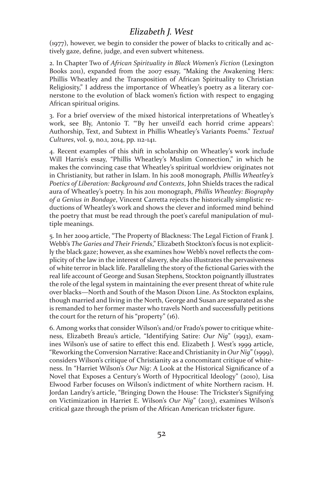(1977), however, we begin to consider the power of blacks to critically and actively gaze, define, judge, and even subvert whiteness.

2. In Chapter Two of *African Spirituality in Black Women's Fiction* (Lexington Books 2011), expanded from the 2007 essay, "Making the Awakening Hers: Phillis Wheatley and the Transposition of African Spirituality to Christian Religiosity," I address the importance of Wheatley's poetry as a literary cornerstone to the evolution of black women's fiction with respect to engaging African spiritual origins.

3. For a brief overview of the mixed historical interpretations of Wheatley's work, see Bly, Antonio T. "'By her unveil'd each horrid crime appears': Authorship, Text, and Subtext in Phillis Wheatley's Variants Poems." *Textual Cultures*, vol. 9, no.1, 2014, pp. 112-141.

4. Recent examples of this shift in scholarship on Wheatley's work include Will Harris's essay, "Phillis Wheatley's Muslim Connection," in which he makes the convincing case that Wheatley's spiritual worldview originates not in Christianity, but rather in Islam. In his 2008 monograph*, Phillis Wheatley's Poetics of Liberation: Background and Contexts*, John Shields traces the radical aura of Wheatley's poetry. In his 2011 monograph, *Phillis Wheatley: Biography of a Genius in Bondage*, Vincent Carretta rejects the historically simplistic reductions of Wheatley's work and shows the clever and informed mind behind the poetry that must be read through the poet's careful manipulation of multiple meanings.

5. In her 2009 article, "The Property of Blackness: The Legal Fiction of Frank J. Webb's *The Garies and Their Friends*," Elizabeth Stockton's focus is not explicitly the black gaze; however, as she examines how Webb's novel reflects the complicity of the law in the interest of slavery, she also illustrates the pervasiveness of white terror in black life. Paralleling the story of the fictional Garies with the real life account of George and Susan Stephens, Stockton poignantly illustrates the role of the legal system in maintaining the ever present threat of white rule over blacks—North and South of the Mason Dixon Line. As Stockton explains, though married and living in the North, George and Susan are separated as she is remanded to her former master who travels North and successfully petitions the court for the return of his "property" (16).

6. Among works that consider Wilson's and/or Frado's power to critique whiteness, Elizabeth Breau's article, "Identifying Satire: *Our Nig*" (1993), examines Wilson's use of satire to effect this end. Elizabeth J. West's 1999 article, "Reworking the Conversion Narrative: Race and Christianity in *Our Nig*" (1999), considers Wilson's critique of Christianity as a concomitant critique of whiteness. In "Harriet Wilson's *Our Nig*: A Look at the Historical Significance of a Novel that Exposes a Century's Worth of Hypocritical Ideology" (2010), Lisa Elwood Farber focuses on Wilson's indictment of white Northern racism. H. Jordan Landry's article, "Bringing Down the House: The Trickster's Signifying on Victimization in Harriet E. Wilson's *Our Nig*" (2013), examines Wilson's critical gaze through the prism of the African American trickster figure.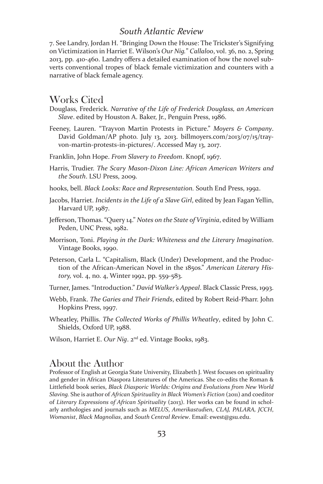7. See Landry, Jordan H. "Bringing Down the House: The Trickster's Signifying on Victimization in Harriet E. Wilson's *Our Nig.*" *Callaloo*, vol. 36, no. 2, Spring 2013, pp. 410-460. Landry offers a detailed examination of how the novel subverts conventional tropes of black female victimization and counters with a narrative of black female agency.

#### Works Cited

- Douglass, Frederick. *Narrative of the Life of Frederick Douglass, an American Slave*. edited by Houston A. Baker, Jr., Penguin Press, 1986.
- Feeney, Lauren. "Trayvon Martin Protests in Picture." *Moyers & Company*. David Goldman/AP photo. July 13, 2013. billmoyers.com/2013/07/15/trayvon-martin-protests-in-pictures/. Accessed May 13, 2017.
- Franklin, John Hope. *From Slavery to Freedom*. Knopf, 1967.
- Harris, Trudier. *The Scary Mason-Dixon Line: African American Writers and the South*. LSU Press, 2009.
- hooks, bell. *Black Looks: Race and Representation.* South End Press, 1992.
- Jacobs, Harriet. *Incidents in the Life of a Slave Girl*, edited by Jean Fagan Yellin, Harvard UP, 1987.
- Jefferson, Thomas. "Query 14." *Notes on the State of Virginia*, edited by William Peden, UNC Press, 1982.
- Morrison, Toni. *Playing in the Dark: Whiteness and the Literary Imagination*. Vintage Books, 1990.
- Peterson, Carla L. "Capitalism, Black (Under) Development, and the Production of the African-American Novel in the 1850s." *American Literary History,* vol. 4, no. 4, Winter 1992, pp. 559-583.
- Turner, James. "Introduction." *David Walker's Appeal*. Black Classic Press, 1993.
- Webb, Frank. *The Garies and Their Friends*, edited by Robert Reid-Pharr. John Hopkins Press, 1997.
- Wheatley, Phillis. *The Collected Works of Phillis Wheatley*, edited by John C. Shields, Oxford UP, 1988.
- Wilson, Harriet E. *Our Nig*. 2nd ed. Vintage Books, 1983.

#### About the Author

Professor of English at Georgia State University, Elizabeth J. West focuses on spirituality and gender in African Diaspora Literatures of the Americas. She co-edits the Roman & Littlefield book series, *Black Diasporic Worlds: Origins and Evolutions from New World Slaving.* She is author of *African Spirituality in Black Women's Fiction* (2011) and coeditor of *Literary Expressions of African Spirituality* (2013). Her works can be found in scholarly anthologies and journals such as *MELUS*, *Amerikastudien*, *CLAJ, PALARA, JCCH*, *Womanist*, *Black Magnolias*, and *South Central Review*. Email: ewest@gsu.edu.